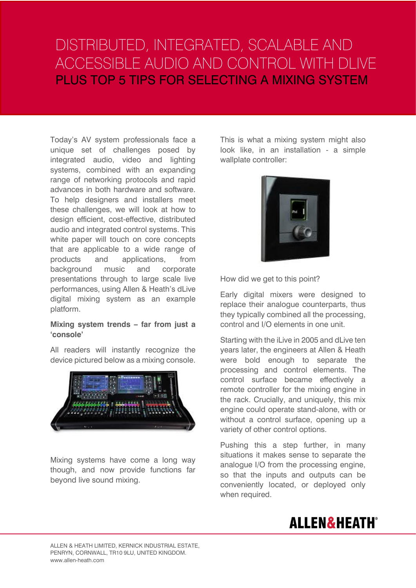# DISTRIBUTED, INTEGRATED, SCALABLE AND ACCESSIBLE AUDIO AND CONTROL WITH DLIVE PLUS TOP 5 TIPS FOR SELECTING A MIXING SYSTEM

Today's AV system professionals face a unique set of challenges posed by integrated audio, video and lighting systems, combined with an expanding range of networking protocols and rapid advances in both hardware and software. To help designers and installers meet these challenges, we will look at how to design efficient, cost-effective, distributed audio and integrated control systems. This white paper will touch on core concepts that are applicable to a wide range of products and applications, from background music and corporate presentations through to large scale live performances, using Allen & Heath's dLive digital mixing system as an example platform.

### **Mixing system trends – far from just a 'console'**

All readers will instantly recognize the device pictured below as a mixing console.



Mixing systems have come a long way though, and now provide functions far beyond live sound mixing.

This is what a mixing system might also look like, in an installation - a simple wallplate controller:



How did we get to this point?

Early digital mixers were designed to replace their analogue counterparts, thus they typically combined all the processing, control and I/O elements in one unit.

Starting with the iLive in 2005 and dLive ten years later, the engineers at Allen & Heath were bold enough to separate the processing and control elements. The control surface became effectively a remote controller for the mixing engine in the rack. Crucially, and uniquely, this mix engine could operate stand-alone, with or without a control surface, opening up a variety of other control options.

Pushing this a step further, in many situations it makes sense to separate the analogue I/O from the processing engine, so that the inputs and outputs can be conveniently located, or deployed only when required.

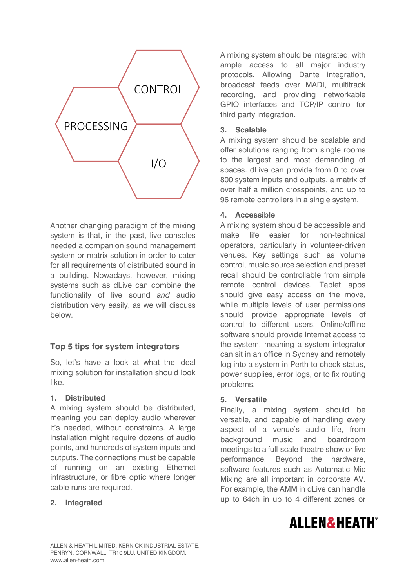

Another changing paradigm of the mixing system is that, in the past, live consoles needed a companion sound management system or matrix solution in order to cater for all requirements of distributed sound in a building. Nowadays, however, mixing systems such as dLive can combine the functionality of live sound *and* audio distribution very easily, as we will discuss below.

# **Top 5 tips for system integrators**

So, let's have a look at what the ideal mixing solution for installation should look like.

## **1. Distributed**

A mixing system should be distributed, meaning you can deploy audio wherever it's needed, without constraints. A large installation might require dozens of audio points, and hundreds of system inputs and outputs. The connections must be capable of running on an existing Ethernet infrastructure, or fibre optic where longer cable runs are required.

## **2. Integrated**

A mixing system should be integrated, with ample access to all major industry protocols. Allowing Dante integration, broadcast feeds over MADI, multitrack recording, and providing networkable GPIO interfaces and TCP/IP control for third party integration.

## **3. Scalable**

A mixing system should be scalable and offer solutions ranging from single rooms to the largest and most demanding of spaces. dLive can provide from 0 to over 800 system inputs and outputs, a matrix of over half a million crosspoints, and up to 96 remote controllers in a single system.

## **4. Accessible**

A mixing system should be accessible and make life easier for non-technical operators, particularly in volunteer-driven venues. Key settings such as volume control, music source selection and preset recall should be controllable from simple remote control devices. Tablet apps should give easy access on the move, while multiple levels of user permissions should provide appropriate levels of control to different users. Online/offline software should provide Internet access to the system, meaning a system integrator can sit in an office in Sydney and remotely log into a system in Perth to check status, power supplies, error logs, or to fix routing problems.

## **5. Versatile**

Finally, a mixing system should be versatile, and capable of handling every aspect of a venue's audio life, from background music and boardroom meetings to a full-scale theatre show or live performance. Beyond the hardware, software features such as Automatic Mic Mixing are all important in corporate AV. For example, the AMM in dLive can handle up to 64ch in up to 4 different zones or

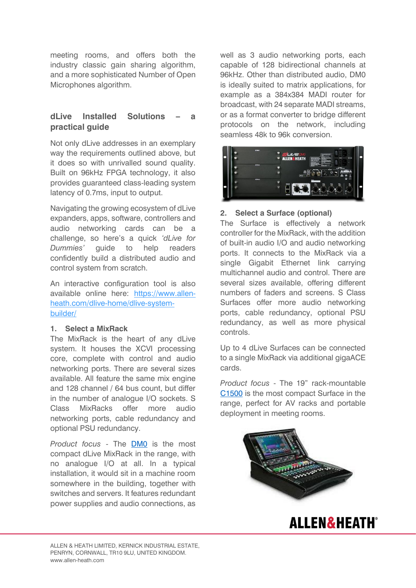meeting rooms, and offers both the industry classic gain sharing algorithm, and a more sophisticated Number of Open Microphones algorithm.

# **dLive Installed Solutions – a practical guide**

Not only dLive addresses in an exemplary way the requirements outlined above, but it does so with unrivalled sound quality. Built on 96kHz FPGA technology, it also provides guaranteed class-leading system latency of 0.7ms, input to output.

Navigating the growing ecosystem of dLive expanders, apps, software, controllers and audio networking cards can be a challenge, so here's a quick *'dLive for Dummies'* guide to help readers confidently build a distributed audio and control system from scratch.

An interactive configuration tool is also available online here: [https://www.allen](https://www.allen-heath.com/dlive-home/dlive-system-builder/)[heath.com/dlive-home/dlive-system](https://www.allen-heath.com/dlive-home/dlive-system-builder/)[builder/](https://www.allen-heath.com/dlive-home/dlive-system-builder/)

### **1. Select a MixRack**

The MixRack is the heart of any dLive system. It houses the XCVI processing core, complete with control and audio networking ports. There are several sizes available. All feature the same mix engine and 128 channel / 64 bus count, but differ in the number of analogue I/O sockets. S Class MixRacks offer more audio networking ports, cable redundancy and optional PSU redundancy.

*Product focus* - The [DM0](https://www.allen-heath.com/ahproducts/dm0/) is the most compact dLive MixRack in the range, with no analogue I/O at all. In a typical installation, it would sit in a machine room somewhere in the building, together with switches and servers. It features redundant power supplies and audio connections, as

well as 3 audio networking ports, each capable of 128 bidirectional channels at 96kHz. Other than distributed audio, DM0 is ideally suited to matrix applications, for example as a 384x384 MADI router for broadcast, with 24 separate MADI streams, or as a format converter to bridge different protocols on the network, including seamless 48k to 96k conversion.



## **2. Select a Surface (optional)**

The Surface is effectively a network controller for the MixRack, with the addition of built-in audio I/O and audio networking ports. It connects to the MixRack via a single Gigabit Ethernet link carrying multichannel audio and control. There are several sizes available, offering different numbers of faders and screens. S Class Surfaces offer more audio networking ports, cable redundancy, optional PSU redundancy, as well as more physical controls.

Up to 4 dLive Surfaces can be connected to a single MixRack via additional gigaACE cards.

*Product focus* - The 19" rack-mountable [C1500](https://www.allen-heath.com/ahproducts/c1500/) is the most compact Surface in the range, perfect for AV racks and portable deployment in meeting rooms.



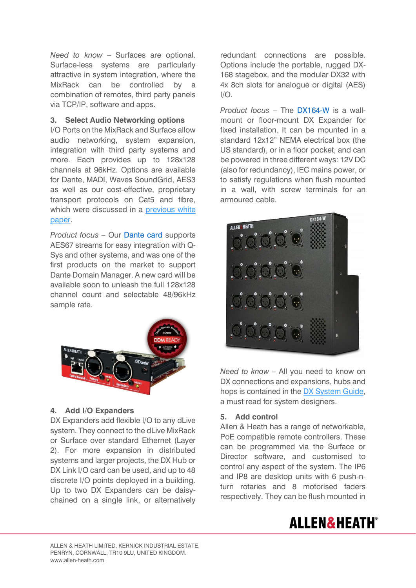*Need to know* – Surfaces are optional. Surface-less systems are particularly attractive in system integration, where the MixRack can be controlled by a combination of remotes, third party panels via TCP/IP, software and apps.

## **3. Select Audio Networking options**

I/O Ports on the MixRack and Surface allow audio networking, system expansion, integration with third party systems and more. Each provides up to 128x128 channels at 96kHz. Options are available for Dante, MADI, Waves SoundGrid, AES3 as well as our cost-effective, proprietary transport protocols on Cat5 and fibre, which were discussed in a previous white [paper.](https://www.allen-heath.com/media/DX-gigaACE-white-paper-1.pdf)

*Product focus* – Our [Dante card](https://www.allen-heath.com/ahproducts/dante/) supports AES67 streams for easy integration with Q-Sys and other systems, and was one of the first products on the market to support Dante Domain Manager. A new card will be available soon to unleash the full 128x128 channel count and selectable 48/96kHz sample rate.



#### **4. Add I/O Expanders**

DX Expanders add flexible I/O to any dLive system. They connect to the dLive MixRack or Surface over standard Ethernet (Layer 2). For more expansion in distributed systems and larger projects, the DX Hub or DX Link I/O card can be used, and up to 48 discrete I/O points deployed in a building. Up to two DX Expanders can be daisychained on a single link, or alternatively redundant connections are possible. Options include the portable, rugged DX-168 stagebox, and the modular DX32 with 4x 8ch slots for analogue or digital (AES)  $I/O$ .

*Product focus* – The [DX164-W](https://www.allen-heath.com/ahproducts/dx164-w/) is a wallmount or floor-mount DX Expander for fixed installation. It can be mounted in a standard 12x12" NEMA electrical box (the US standard), or in a floor pocket, and can be powered in three different ways: 12V DC (also for redundancy), IEC mains power, or to satisfy regulations when flush mounted in a wall, with screw terminals for an armoured cable.



*Need to know* – All you need to know on DX connections and expansions, hubs and hops is contained in the [DX System Guide,](https://www.allen-heath.com/media/DX-System-Guide-ISS_1.pdf) a must read for system designers.

#### **5. Add control**

Allen & Heath has a range of networkable, PoE compatible remote controllers. These can be programmed via the Surface or Director software, and customised to control any aspect of the system. The IP6 and IP8 are desktop units with 6 push-nturn rotaries and 8 motorised faders respectively. They can be flush mounted in